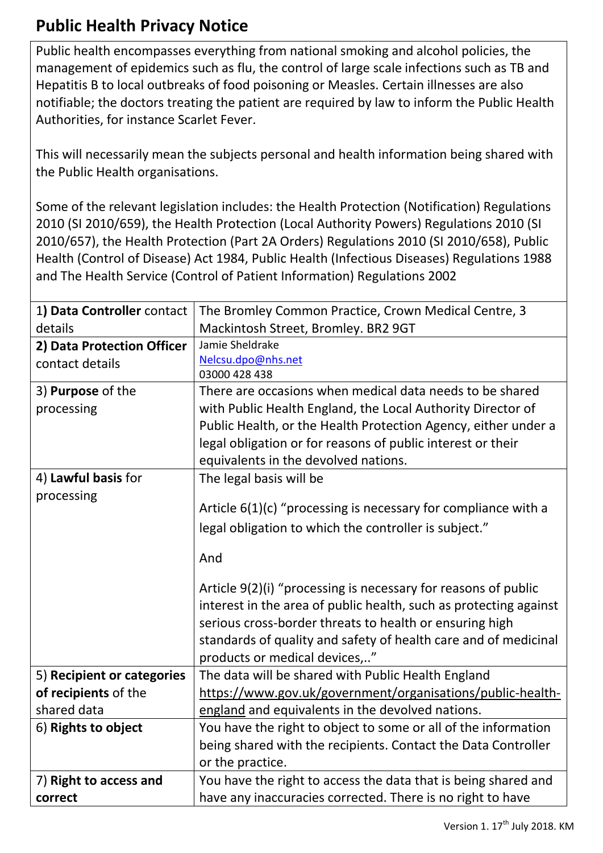## **Public Health Privacy Notice**

Public health encompasses everything from national smoking and alcohol policies, the management of epidemics such as flu, the control of large scale infections such as TB and Hepatitis B to local outbreaks of food poisoning or Measles. Certain illnesses are also notifiable; the doctors treating the patient are required by law to inform the Public Health Authorities, for instance Scarlet Fever.

This will necessarily mean the subjects personal and health information being shared with the Public Health organisations.

Some of the relevant legislation includes: the Health Protection [\(Notification\)](http://www.legislation.gov.uk/uksi/2010/659/contents/made) Regulations 2010 (SI [2010/659\),](http://www.legislation.gov.uk/uksi/2010/659/contents/made) the Health Protection (Local Authority Powers) [Regulations](http://www.legislation.gov.uk/uksi/2010/657/contents/made) 2010 (SI [2010/657\),](http://www.legislation.gov.uk/uksi/2010/657/contents/made) the Health Protection (Part 2A Orders) [Regulations](http://www.legislation.gov.uk/uksi/2010/658/contents/made) 2010 (SI 2010/658), [Public](https://www.legislation.gov.uk/ukpga/1984/22) Health (Control of [Disease\)](https://www.legislation.gov.uk/ukpga/1984/22) Act 1984, Public Health (Infectious Diseases) [Regulations](http://www.legislation.gov.uk/uksi/1988/1546/contents/made) 1988 and [The Health Service \(Control of Patient Information\) Regulations 2002](http://www.legislation.gov.uk/uksi/2002/1438/regulation/3/made)

| 1) Data Controller contact | The Bromley Common Practice, Crown Medical Centre, 3              |
|----------------------------|-------------------------------------------------------------------|
| details                    | Mackintosh Street, Bromley. BR2 9GT                               |
| 2) Data Protection Officer | Jamie Sheldrake                                                   |
| contact details            | Nelcsu.dpo@nhs.net                                                |
|                            | 03000 428 438                                                     |
| 3) Purpose of the          | There are occasions when medical data needs to be shared          |
| processing                 | with Public Health England, the Local Authority Director of       |
|                            | Public Health, or the Health Protection Agency, either under a    |
|                            | legal obligation or for reasons of public interest or their       |
|                            | equivalents in the devolved nations.                              |
| 4) Lawful basis for        | The legal basis will be                                           |
| processing                 |                                                                   |
|                            | Article $6(1)(c)$ "processing is necessary for compliance with a  |
|                            | legal obligation to which the controller is subject."             |
|                            |                                                                   |
|                            | And                                                               |
|                            | Article 9(2)(i) "processing is necessary for reasons of public    |
|                            | interest in the area of public health, such as protecting against |
|                            | serious cross-border threats to health or ensuring high           |
|                            |                                                                   |
|                            | standards of quality and safety of health care and of medicinal   |
|                            | products or medical devices,"                                     |
| 5) Recipient or categories | The data will be shared with Public Health England                |
| of recipients of the       | https://www.gov.uk/government/organisations/public-health-        |
| shared data                | england and equivalents in the devolved nations.                  |
| 6) Rights to object        | You have the right to object to some or all of the information    |
|                            | being shared with the recipients. Contact the Data Controller     |
|                            | or the practice.                                                  |
| 7) Right to access and     | You have the right to access the data that is being shared and    |
| correct                    | have any inaccuracies corrected. There is no right to have        |
|                            |                                                                   |